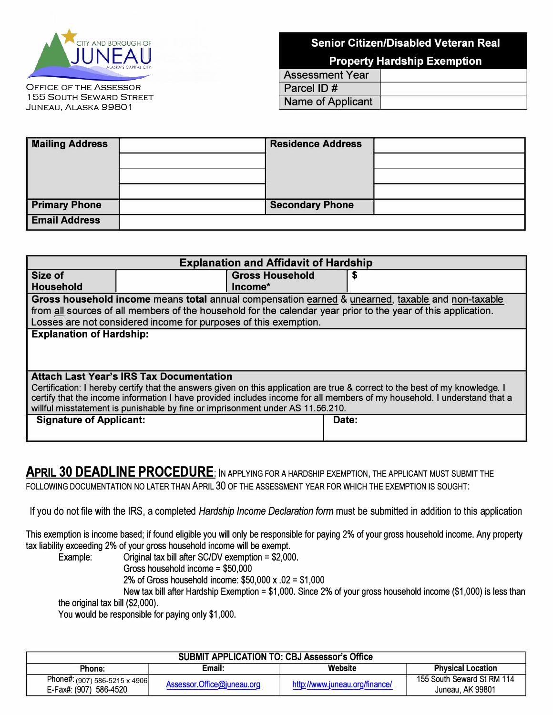

OFFICE OF THE ASSESSOR 155 SOUTH SEWARD STREET<br>JUNEAU, ALASKA 99801

## **Senior Citizen/Disabled Veteran Real**

**Property Hardship Exemption** 

| <b>Assessment Year</b> |  |
|------------------------|--|
| $\vert$ Parcel ID #    |  |
| Name of Applicant      |  |

| <b>Mailing Address</b> | <b>Residence Address</b> |  |
|------------------------|--------------------------|--|
|                        |                          |  |
|                        |                          |  |
|                        |                          |  |
| <b>Primary Phone</b>   | <b>Secondary Phone</b>   |  |
| <b>Email Address</b>   |                          |  |

| <b>Explanation and Affidavit of Hardship</b>                                                                                                                                                                                                             |                                                                                                   |                        |  |                                                                                                               |  |
|----------------------------------------------------------------------------------------------------------------------------------------------------------------------------------------------------------------------------------------------------------|---------------------------------------------------------------------------------------------------|------------------------|--|---------------------------------------------------------------------------------------------------------------|--|
| Size of                                                                                                                                                                                                                                                  |                                                                                                   | <b>Gross Household</b> |  |                                                                                                               |  |
| <b>Household</b>                                                                                                                                                                                                                                         |                                                                                                   | $Income*$              |  |                                                                                                               |  |
|                                                                                                                                                                                                                                                          | Gross household income means total annual compensation earned & unearned, taxable and non-taxable |                        |  |                                                                                                               |  |
|                                                                                                                                                                                                                                                          |                                                                                                   |                        |  | from all sources of all members of the household for the calendar year prior to the year of this application. |  |
|                                                                                                                                                                                                                                                          | Losses are not considered income for purposes of this exemption.                                  |                        |  |                                                                                                               |  |
| <b>Explanation of Hardship:</b>                                                                                                                                                                                                                          |                                                                                                   |                        |  |                                                                                                               |  |
|                                                                                                                                                                                                                                                          |                                                                                                   |                        |  |                                                                                                               |  |
|                                                                                                                                                                                                                                                          |                                                                                                   |                        |  |                                                                                                               |  |
|                                                                                                                                                                                                                                                          |                                                                                                   |                        |  |                                                                                                               |  |
|                                                                                                                                                                                                                                                          | <b>Attach Last Year's IRS Tax Documentation</b>                                                   |                        |  |                                                                                                               |  |
| Certification: I hereby certify that the answers given on this application are true & correct to the best of my knowledge. I<br>certify that the income information I have provided includes income for all members of my household. I understand that a |                                                                                                   |                        |  |                                                                                                               |  |
| willful misstatement is punishable by fine or imprisonment under AS 11.56.210.                                                                                                                                                                           |                                                                                                   |                        |  |                                                                                                               |  |
| <b>Signature of Applicant:</b><br>Date:                                                                                                                                                                                                                  |                                                                                                   |                        |  |                                                                                                               |  |
|                                                                                                                                                                                                                                                          |                                                                                                   |                        |  |                                                                                                               |  |
|                                                                                                                                                                                                                                                          |                                                                                                   |                        |  |                                                                                                               |  |

## **APRIL 30 DEADLINE PROCEDURE:** IN APPLYING FOR A HARDSHIP EXEMPTION, THE APPLICANT MUST SUBMIT THE FOLLOWING DOCUMENTATION NO LATER THAN APRIL 30 OF THE ASSESSMENT YEAR FOR WHICH THE EXEMPTION IS SOUGHT:

If you do not file with the IRS, a completed *Hardship Income Declaration form* must be submitted in addition to this application

This exemption is income based; if found eligible you will only be responsible for paying 2% of your gross household income. Any property tax liability exceeding 2% of your gross household income will be exempt.

Original tax bill after SC/DV exemption =  $$2,000$ . Gross household income = \$50,000

2% of Gross household income: \$50,000 x .02 = \$1,000

New tax bill after Hardship Exemption = \$1,000. Since 2% of your gross household income (\$1,000) is less than the original tax bill (\$2,000).

You would be responsible for paying only \$1,000.

| <b>SUBMIT APPLICATION TO: CBJ Assessor's Office</b> |                            |                                |                            |  |  |
|-----------------------------------------------------|----------------------------|--------------------------------|----------------------------|--|--|
| Phone:                                              | Email:                     | Website                        | <b>Physical Location</b>   |  |  |
| Phone#: (907) 586-5215 x 4906                       | Assessor.Office@juneau.org | http://www.juneau.org/finance/ | 155 South Seward St RM 114 |  |  |
| E-Fax#: (907) 586-4520                              |                            |                                | Juneau, AK 99801           |  |  |
|                                                     |                            |                                |                            |  |  |
|                                                     |                            |                                |                            |  |  |